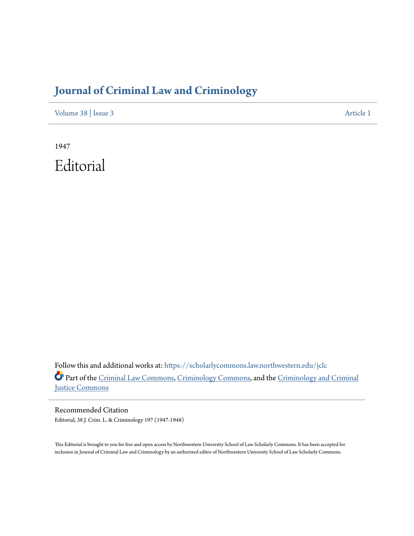## **[Journal of Criminal Law and Criminology](https://scholarlycommons.law.northwestern.edu/jclc?utm_source=scholarlycommons.law.northwestern.edu%2Fjclc%2Fvol38%2Fiss3%2F1&utm_medium=PDF&utm_campaign=PDFCoverPages)**

[Volume 38](https://scholarlycommons.law.northwestern.edu/jclc/vol38?utm_source=scholarlycommons.law.northwestern.edu%2Fjclc%2Fvol38%2Fiss3%2F1&utm_medium=PDF&utm_campaign=PDFCoverPages) | [Issue 3](https://scholarlycommons.law.northwestern.edu/jclc/vol38/iss3?utm_source=scholarlycommons.law.northwestern.edu%2Fjclc%2Fvol38%2Fiss3%2F1&utm_medium=PDF&utm_campaign=PDFCoverPages) [Article 1](https://scholarlycommons.law.northwestern.edu/jclc/vol38/iss3/1?utm_source=scholarlycommons.law.northwestern.edu%2Fjclc%2Fvol38%2Fiss3%2F1&utm_medium=PDF&utm_campaign=PDFCoverPages)

1947 Editorial

Follow this and additional works at: [https://scholarlycommons.law.northwestern.edu/jclc](https://scholarlycommons.law.northwestern.edu/jclc?utm_source=scholarlycommons.law.northwestern.edu%2Fjclc%2Fvol38%2Fiss3%2F1&utm_medium=PDF&utm_campaign=PDFCoverPages) Part of the [Criminal Law Commons](http://network.bepress.com/hgg/discipline/912?utm_source=scholarlycommons.law.northwestern.edu%2Fjclc%2Fvol38%2Fiss3%2F1&utm_medium=PDF&utm_campaign=PDFCoverPages), [Criminology Commons](http://network.bepress.com/hgg/discipline/417?utm_source=scholarlycommons.law.northwestern.edu%2Fjclc%2Fvol38%2Fiss3%2F1&utm_medium=PDF&utm_campaign=PDFCoverPages), and the [Criminology and Criminal](http://network.bepress.com/hgg/discipline/367?utm_source=scholarlycommons.law.northwestern.edu%2Fjclc%2Fvol38%2Fiss3%2F1&utm_medium=PDF&utm_campaign=PDFCoverPages) [Justice Commons](http://network.bepress.com/hgg/discipline/367?utm_source=scholarlycommons.law.northwestern.edu%2Fjclc%2Fvol38%2Fiss3%2F1&utm_medium=PDF&utm_campaign=PDFCoverPages)

Recommended Citation Editorial, 38 J. Crim. L. & Criminology 197 (1947-1948)

This Editorial is brought to you for free and open access by Northwestern University School of Law Scholarly Commons. It has been accepted for inclusion in Journal of Criminal Law and Criminology by an authorized editor of Northwestern University School of Law Scholarly Commons.